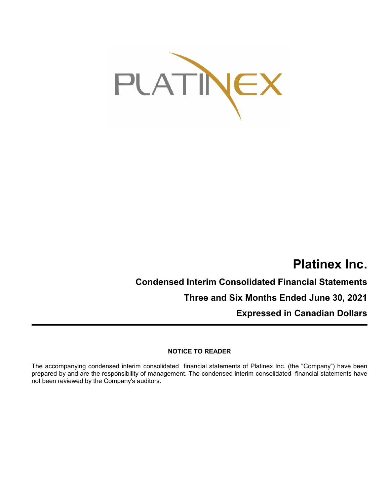

# **Platinex Inc.**

# **Condensed Interim Consolidated Financial Statements**

**Three and Six Months Ended June 30, 2021**

**Expressed in Canadian Dollars**

# **NOTICE TO READER**

The accompanying condensed interim consolidated financial statements of Platinex Inc. (the "Company") have been prepared by and are the responsibility of management. The condensed interim consolidated financial statements have not been reviewed by the Company's auditors.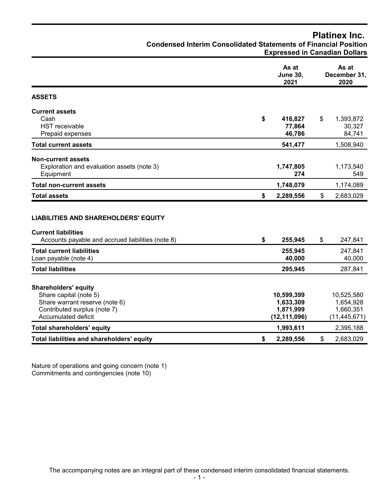# **Platinex Inc.**

**Condensed Interim Consolidated Statements of Financial Position**

| <b>Expressed in Canadian Dollars</b> |  |
|--------------------------------------|--|
|--------------------------------------|--|

|                                                                                                                                                | As at<br><b>June 30,</b><br>2021                       |                | As at<br>December 31,<br>2020                          |
|------------------------------------------------------------------------------------------------------------------------------------------------|--------------------------------------------------------|----------------|--------------------------------------------------------|
| <b>ASSETS</b>                                                                                                                                  |                                                        |                |                                                        |
| <b>Current assets</b><br>Cash<br><b>HST</b> receivable<br>Prepaid expenses                                                                     | \$<br>416,827<br>77,864<br>46,786                      | \$             | 1,393,872<br>30,327<br>84,741                          |
| <b>Total current assets</b>                                                                                                                    | 541,477                                                |                | 1,508,940                                              |
| <b>Non-current assets</b><br>Exploration and evaluation assets (note 3)<br>Equipment                                                           | 1,747,805<br>274                                       |                | 1,173,540<br>549                                       |
| <b>Total non-current assets</b>                                                                                                                | 1,748,079                                              |                | 1,174,089                                              |
| <b>Total assets</b>                                                                                                                            | \$<br>2,289,556                                        | $\mathfrak{S}$ | 2,683,029                                              |
| <b>LIABILITIES AND SHAREHOLDERS' EQUITY</b><br><b>Current liabilities</b><br>Accounts payable and accrued liabilities (note 8)                 | \$<br>255,945                                          | \$             | 247,841                                                |
| <b>Total current liabilities</b><br>Loan payable (note 4)                                                                                      | 255,945<br>40,000                                      |                | 247,841<br>40,000                                      |
| <b>Total liabilities</b>                                                                                                                       | 295,945                                                |                | 287,841                                                |
| <b>Shareholders' equity</b><br>Share capital (note 5)<br>Share warrant reserve (note 6)<br>Contributed surplus (note 7)<br>Accumulated deficit | 10,599,399<br>1,633,309<br>1,871,999<br>(12, 111, 096) |                | 10,525,580<br>1,654,928<br>1,660,351<br>(11, 445, 671) |
| <b>Total shareholders' equity</b>                                                                                                              | 1,993,611                                              |                | 2,395,188                                              |
| Total liabilities and shareholders' equity                                                                                                     | \$<br>2,289,556                                        | $\mathfrak{S}$ | 2,683,029                                              |

Nature of operations and going concern (note 1) Commitments and contingencies (note 10)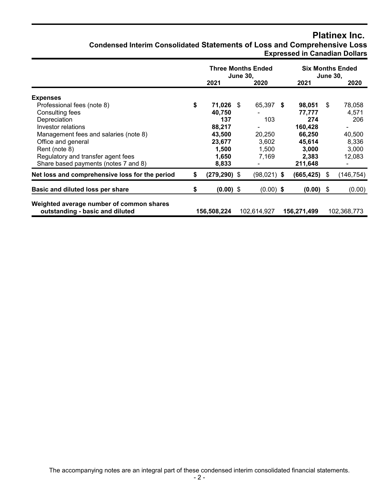# **Platinex Inc.**

# **Condensed Interim Consolidated Statements of Loss and Comprehensive Loss Expressed in Canadian Dollars**

|                                                                             | <b>Three Months Ended</b><br><b>June 30.</b> |                 |  |               | <b>Six Months Ended</b><br><b>June 30,</b> |                 |      |             |
|-----------------------------------------------------------------------------|----------------------------------------------|-----------------|--|---------------|--------------------------------------------|-----------------|------|-------------|
|                                                                             |                                              | 2021            |  | 2020          |                                            | 2021            |      | 2020        |
| <b>Expenses</b>                                                             |                                              |                 |  |               |                                            |                 |      |             |
| Professional fees (note 8)                                                  | \$                                           | 71,026 \$       |  | 65,397 \$     |                                            | 98,051          | - \$ | 78,058      |
| Consulting fees                                                             |                                              | 40,750          |  |               |                                            | 77,777          |      | 4,571       |
| Depreciation                                                                |                                              | 137             |  | 103           |                                            | 274             |      | 206         |
| Investor relations                                                          |                                              | 88,217          |  | ٠             |                                            | 160,428         |      |             |
| Management fees and salaries (note 8)                                       |                                              | 43,500          |  | 20,250        |                                            | 66,250          |      | 40,500      |
| Office and general                                                          |                                              | 23,677          |  | 3,602         |                                            | 45,614          |      | 8,336       |
| Rent (note 8)                                                               |                                              | 1,500           |  | 1,500         |                                            | 3,000           |      | 3,000       |
| Regulatory and transfer agent fees                                          |                                              | 1,650           |  | 7,169         |                                            | 2,383           |      | 12,083      |
| Share based payments (notes 7 and 8)                                        |                                              | 8,833           |  |               |                                            | 211,648         |      |             |
| Net loss and comprehensive loss for the period                              | \$                                           | $(279, 290)$ \$ |  | $(98,021)$ \$ |                                            | $(665, 425)$ \$ |      | (146, 754)  |
| Basic and diluted loss per share                                            | \$                                           | $(0.00)$ \$     |  | $(0.00)$ \$   |                                            | $(0.00)$ \$     |      | (0.00)      |
| Weighted average number of common shares<br>outstanding - basic and diluted |                                              | 156,508,224     |  | 102,614,927   |                                            | 156,271,499     |      | 102,368,773 |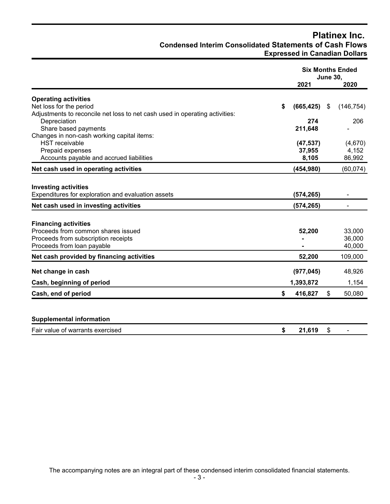# **Platinex Inc. Condensed Interim Consolidated Statements of Cash Flows Expressed in Canadian Dollars**

|                                                                             | <b>Six Months Ended</b><br><b>June 30,</b> |    |            |
|-----------------------------------------------------------------------------|--------------------------------------------|----|------------|
|                                                                             | 2021                                       |    | 2020       |
| <b>Operating activities</b>                                                 |                                            |    |            |
| Net loss for the period                                                     | \$<br>(665, 425)                           | \$ | (146, 754) |
| Adjustments to reconcile net loss to net cash used in operating activities: |                                            |    |            |
| Depreciation                                                                | 274                                        |    | 206        |
| Share based payments                                                        | 211,648                                    |    |            |
| Changes in non-cash working capital items:                                  |                                            |    |            |
| <b>HST</b> receivable                                                       | (47, 537)                                  |    | (4,670)    |
| Prepaid expenses                                                            | 37,955                                     |    | 4,152      |
| Accounts payable and accrued liabilities                                    | 8,105                                      |    | 86,992     |
| Net cash used in operating activities                                       | (454, 980)                                 |    | (60, 074)  |
|                                                                             |                                            |    |            |
| <b>Investing activities</b>                                                 |                                            |    |            |
| Expenditures for exploration and evaluation assets                          | (574, 265)                                 |    |            |
| Net cash used in investing activities                                       | (574, 265)                                 |    |            |
|                                                                             |                                            |    |            |
| <b>Financing activities</b>                                                 |                                            |    |            |
| Proceeds from common shares issued                                          | 52,200                                     |    | 33,000     |
| Proceeds from subscription receipts                                         |                                            |    | 36,000     |
| Proceeds from loan payable                                                  |                                            |    | 40,000     |
| Net cash provided by financing activities                                   | 52,200                                     |    | 109,000    |
|                                                                             |                                            |    |            |
| Net change in cash                                                          | (977, 045)                                 |    | 48,926     |
| Cash, beginning of period                                                   | 1,393,872                                  |    | 1,154      |
| Cash, end of period                                                         | \$<br>416,827                              | \$ | 50,080     |
|                                                                             |                                            |    |            |
| <b>Supplemental information</b>                                             |                                            |    |            |
| Fair value of warrants exercised                                            | \$<br>21,619                               | \$ |            |

The accompanying notes are an integral part of these condensed interim consolidated financial statements.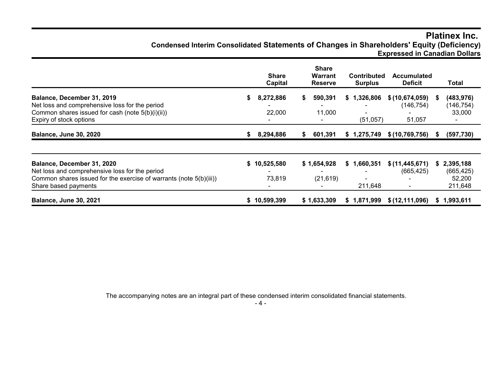# **Platinex Inc. Condensed Interim Consolidated Statements of Changes in Shareholders' Equity (Deficiency) Expressed in Canadian Dollars**

|                                                                                                                                                                            |    | <b>Share</b><br>Capital |    | <b>Share</b><br>Warrant<br><b>Reserve</b> | <b>Contributed</b><br><b>Surplus</b> | <b>Accumulated</b><br><b>Deficit</b>   |    | Total                                        |
|----------------------------------------------------------------------------------------------------------------------------------------------------------------------------|----|-------------------------|----|-------------------------------------------|--------------------------------------|----------------------------------------|----|----------------------------------------------|
| Balance, December 31, 2019<br>Net loss and comprehensive loss for the period<br>Common shares issued for cash (note 5(b)(i)(ii))<br>Expiry of stock options                | S. | 8,272,886<br>22,000     | S. | 590,391<br>11,000                         | \$1,326,806<br>(51, 057)             | \$(10,674,059)<br>(146, 754)<br>51,057 | S  | (483, 976)<br>(146, 754)<br>33,000           |
| <b>Balance, June 30, 2020</b>                                                                                                                                              | S. | 8,294,886               | S. | 601,391                                   | \$1,275,749                          | \$(10, 769, 756)                       | `S | (597, 730)                                   |
| Balance, December 31, 2020<br>Net loss and comprehensive loss for the period<br>Common shares issued for the exercise of warrants (note 5(b)(iii))<br>Share based payments | S. | 10,525,580<br>73,819    |    | \$1,654,928<br>(21, 619)                  | \$1,660,351<br>211,648               | \$(11, 445, 671)<br>(665, 425)         | S  | 2,395,188<br>(665, 425)<br>52,200<br>211,648 |
| <b>Balance, June 30, 2021</b>                                                                                                                                              |    | \$10,599,399            |    | \$1,633,309                               | \$1,871,999                          | \$(12, 111, 096)                       | S. | 1,993,611                                    |

The accompanying notes are an integral part of these condensed interim consolidated financial statements.

- 4 -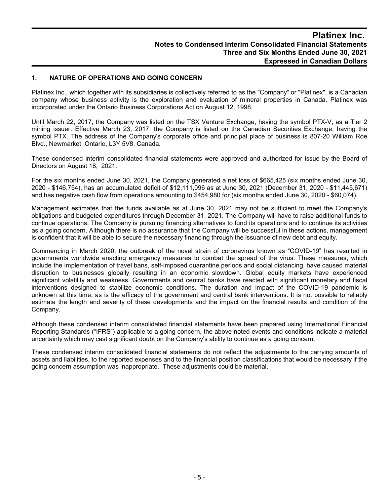#### **1. NATURE OF OPERATIONS AND GOING CONCERN**

Platinex Inc., which together with its subsidiaries is collectively referred to as the "Company" or "Platinex", is a Canadian company whose business activity is the exploration and evaluation of mineral properties in Canada. Platinex was incorporated under the Ontario Business Corporations Act on August 12, 1998.

Until March 22, 2017, the Company was listed on the TSX Venture Exchange, having the symbol PTX-V, as a Tier 2 mining issuer. Effective March 23, 2017, the Company is listed on the Canadian Securities Exchange, having the symbol PTX. The address of the Company's corporate office and principal place of business is 807-20 William Roe Blvd., Newmarket, Ontario, L3Y 5V8, Canada.

These condensed interim consolidated financial statements were approved and authorized for issue by the Board of Directors on August 18, 2021.

For the six months ended June 30, 2021, the Company generated a net loss of \$665,425 (six months ended June 30, 2020 - \$146,754), has an accumulated deficit of \$12,111,096 as at June 30, 2021 (December 31, 2020 - \$11,445,671) and has negative cash flow from operations amounting to \$454,980 for (six months ended June 30, 2020 - \$60,074).

Management estimates that the funds available as at June 30, 2021 may not be sufficient to meet the Company's obligations and budgeted expenditures through December 31, 2021. The Company will have to raise additional funds to continue operations. The Company is pursuing financing alternatives to fund its operations and to continue its activities as a going concern. Although there is no assurance that the Company will be successful in these actions, management is confident that it will be able to secure the necessary financing through the issuance of new debt and equity.

Commencing in March 2020, the outbreak of the novel strain of coronavirus known as "COVID-19" has resulted in governments worldwide enacting emergency measures to combat the spread of the virus. These measures, which include the implementation of travel bans, self-imposed quarantine periods and social distancing, have caused material disruption to businesses globally resulting in an economic slowdown. Global equity markets have experienced significant volatility and weakness. Governments and central banks have reacted with significant monetary and fiscal interventions designed to stabilize economic conditions. The duration and impact of the COVID-19 pandemic is unknown at this time, as is the efficacy of the government and central bank interventions. It is not possible to reliably estimate the length and severity of these developments and the impact on the financial results and condition of the Company.

Although these condensed interim consolidated financial statements have been prepared using International Financial Reporting Standards ("IFRS") applicable to a going concern, the above-noted events and conditions indicate a material uncertainty which may cast significant doubt on the Company's ability to continue as a going concern.

These condensed interim consolidated financial statements do not reflect the adjustments to the carrying amounts of assets and liabilities, to the reported expenses and to the financial position classifications that would be necessary if the going concern assumption was inappropriate. These adjustments could be material.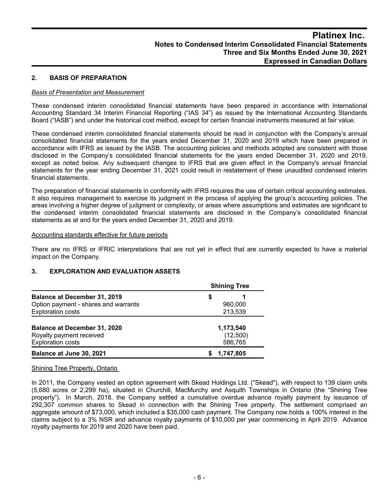### **2. BASIS OF PREPARATION**

#### *Basis of Presentation and Measurement*

These condensed interim consolidated financial statements have been prepared in accordance with International Accounting Standard 34 Interim Financial Reporting ("IAS 34") as issued by the International Accounting Standards Board ("IASB") and under the historical cost method, except for certain financial instruments measured at fair value.

These condensed interim consolidated financial statements should be read in conjunction with the Company's annual consolidated financial statements for the years ended December 31, 2020 and 2019 which have been prepared in accordance with IFRS as issued by the IASB. The accounting policies and methods adopted are consistent with those disclosed in the Company's consolidated financial statements for the years ended December 31, 2020 and 2019, except as noted below. Any subsequent changes to IFRS that are given effect in the Company's annual financial statements for the year ending December 31, 2021 could result in restatement of these unaudited condensed interim financial statements.

The preparation of financial statements in conformity with IFRS requires the use of certain critical accounting estimates. It also requires management to exercise its judgment in the process of applying the group's accounting policies. The areas involving a higher degree of judgment or complexity, or areas where assumptions and estimates are significant to the condensed interim consolidated financial statements are disclosed in the Company's consolidated financial statements as at and for the years ended December 31, 2020 and 2019.

#### Accounting standards effective for future periods

There are no IFRS or IFRIC interpretations that are not yet in effect that are currently expected to have a material impact on the Company.

#### **3. EXPLORATION AND EVALUATION ASSETS**

|                                      | <b>Shining Tree</b> |  |  |  |  |
|--------------------------------------|---------------------|--|--|--|--|
| <b>Balance at December 31, 2019</b>  | S                   |  |  |  |  |
| Option payment - shares and warrants | 960,000             |  |  |  |  |
| <b>Exploration costs</b>             | 213,539             |  |  |  |  |
|                                      |                     |  |  |  |  |
| <b>Balance at December 31, 2020</b>  | 1,173,540           |  |  |  |  |
| Royalty payment received             | (12,500)            |  |  |  |  |
| <b>Exploration costs</b>             | 586,765             |  |  |  |  |
| Balance at June 30, 2021             | 1.747.805           |  |  |  |  |

#### Shining Tree Property, Ontario

In 2011, the Company vested an option agreement with Skead Holdings Ltd. ("Skead"), with respect to 139 claim units (5,680 acres or 2,299 ha), situated in Churchill, MacMurchy and Asquith Townships in Ontario (the "Shining Tree property"). In March, 2018, the Company settled a cumulative overdue advance royalty payment by issuance of 292,307 common shares to Skead in connection with the Shining Tree property. The settlement comprised an aggregate amount of \$73,000, which included a \$35,000 cash payment. The Company now holds a 100% interest in the claims subject to a 3% NSR and advance royalty payments of \$10,000 per year commencing in April 2019. Advance royalty payments for 2019 and 2020 have been paid.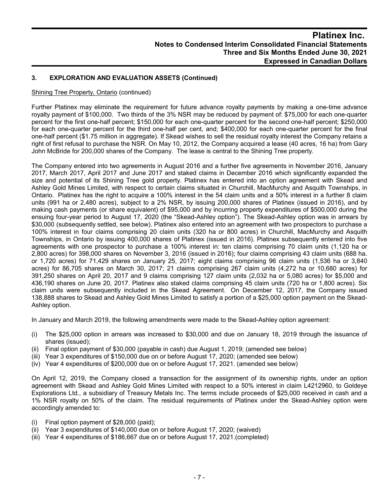# **3. EXPLORATION AND EVALUATION ASSETS (Continued)**

#### Shining Tree Property, Ontario (continued)

Further Platinex may eliminate the requirement for future advance royalty payments by making a one-time advance royalty payment of \$100,000. Two thirds of the 3% NSR may be reduced by payment of: \$75,000 for each one-quarter percent for the first one-half percent; \$150,000 for each one-quarter percent for the second one-half percent; \$250,000 for each one-quarter percent for the third one-half per cent, and; \$400,000 for each one-quarter percent for the final one-half percent (\$1.75 million in aggregate). If Skead wishes to sell the residual royalty interest the Company retains a right of first refusal to purchase the NSR. On May 10, 2012, the Company acquired a lease (40 acres, 16 ha) from Gary John McBride for 200,000 shares of the Company. The lease is central to the Shining Tree property.

The Company entered into two agreements in August 2016 and a further five agreements in November 2016, January 2017, March 2017, April 2017 and June 2017 and staked claims in December 2016 which significantly expanded the size and potential of its Shining Tree gold property. Platinex has entered into an option agreement with Skead and Ashley Gold Mines Limited, with respect to certain claims situated in Churchill, MacMurchy and Asquith Townships, in Ontario. Platinex has the right to acquire a 100% interest in the 54 claim units and a 50% interest in a further 8 claim units (991 ha or 2,480 acres), subject to a 2% NSR, by issuing 200,000 shares of Platinex (issued in 2016), and by making cash payments (or share equivalent) of \$95,000 and by incurring property expenditures of \$500,000 during the ensuing four-year period to August 17, 2020 (the "Skead-Ashley option"). The Skead-Ashley option was in arrears by \$30,000 (subsequently settled, see below). Platinex also entered into an agreement with two prospectors to purchase a 100% interest in four claims comprising 20 claim units (320 ha or 800 acres) in Churchill, MacMurchy and Asquith Townships, in Ontario by issuing 400,000 shares of Platinex (issued in 2016). Platinex subsequently entered into five agreements with one prospector to purchase a 100% interest in: ten claims comprising 70 claim units (1,120 ha or 2,800 acres) for 398,000 shares on November 3, 2016 (issued in 2016); four claims comprising 43 claim units (688 ha. or 1,720 acres) for 71,429 shares on January 25, 2017; eight claims comprising 96 claim units (1,536 ha or 3,840 acres) for 86,705 shares on March 30, 2017; 21 claims comprising 267 claim units (4,272 ha or 10,680 acres) for 391,250 shares on April 20, 2017 and 9 claims comprising 127 claim units (2,032 ha or 5,080 acres) for \$5,000 and 436,190 shares on June 20, 2017. Platinex also staked claims comprising 45 claim units (720 ha or 1,800 acres). Six claim units were subsequently included in the Skead Agreement. On December 12, 2017, the Company issued 138,888 shares to Skead and Ashley Gold Mines Limited to satisfy a portion of a \$25,000 option payment on the Skead-Ashley option.

In January and March 2019, the following amendments were made to the Skead-Ashley option agreement:

- (i) The \$25,000 option in arrears was increased to \$30,000 and due on January 18, 2019 through the issuance of shares (issued);
- (ii) Final option payment of \$30,000 (payable in cash) due August 1, 2019; (amended see below)
- (iii) Year 3 expenditures of \$150,000 due on or before August 17, 2020; (amended see below)
- (iv) Year 4 expenditures of \$200,000 due on or before August 17, 2021. (amended see below)

On April 12, 2019, the Company closed a transaction for the assignment of its ownership rights, under an option agreement with Skead and Ashley Gold Mines Limited with respect to a 50% interest in claim L4212960, to Goldeye Explorations Ltd., a subsidiary of Treasury Metals Inc. The terms include proceeds of \$25,000 received in cash and a 1% NSR royalty on 50% of the claim. The residual requirements of Platinex under the Skead-Ashley option were accordingly amended to:

- (i) Final option payment of \$28,000 (paid);
- (ii) Year 3 expenditures of \$140,000 due on or before August 17, 2020; (waived)
- (iii) Year 4 expenditures of \$186,667 due on or before August 17, 2021.(completed)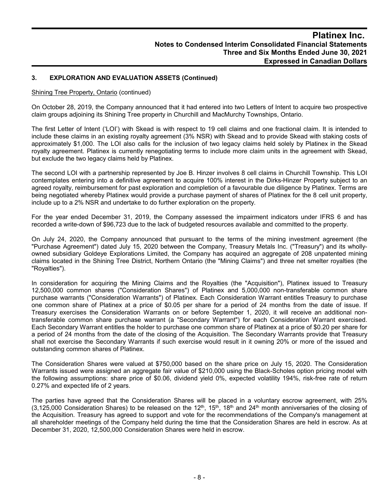# **3. EXPLORATION AND EVALUATION ASSETS (Continued)**

#### Shining Tree Property, Ontario (continued)

On October 28, 2019, the Company announced that it had entered into two Letters of Intent to acquire two prospective claim groups adjoining its Shining Tree property in Churchill and MacMurchy Townships, Ontario.

The first Letter of Intent ('LOI') with Skead is with respect to 19 cell claims and one fractional claim. It is intended to include these claims in an existing royalty agreement (3% NSR) with Skead and to provide Skead with staking costs of approximately \$1,000. The LOI also calls for the inclusion of two legacy claims held solely by Platinex in the Skead royalty agreement. Platinex is currently renegotiating terms to include more claim units in the agreement with Skead, but exclude the two legacy claims held by Platinex.

The second LOI with a partnership represented by Joe B. Hinzer involves 8 cell claims in Churchill Township. This LOI contemplates entering into a definitive agreement to acquire 100% interest in the Dirks-Hinzer Property subject to an agreed royalty, reimbursement for past exploration and completion of a favourable due diligence by Platinex. Terms are being negotiated whereby Platinex would provide a purchase payment of shares of Platinex for the 8 cell unit property, include up to a 2% NSR and undertake to do further exploration on the property.

For the year ended December 31, 2019, the Company assessed the impairment indicators under IFRS 6 and has recorded a write-down of \$96,723 due to the lack of budgeted resources available and committed to the property.

On July 24, 2020, the Company announced that pursuant to the terms of the mining investment agreement (the "Purchase Agreement") dated July 15, 2020 between the Company, Treasury Metals Inc. ("Treasury") and its whollyowned subsidiary Goldeye Explorations Limited, the Company has acquired an aggregate of 208 unpatented mining claims located in the Shining Tree District, Northern Ontario (the "Mining Claims") and three net smelter royalties (the "Royalties").

In consideration for acquiring the Mining Claims and the Royalties (the "Acquisition"), Platinex issued to Treasury 12,500,000 common shares ("Consideration Shares") of Platinex and 5,000,000 non-transferable common share purchase warrants ("Consideration Warrants") of Platinex. Each Consideration Warrant entitles Treasury to purchase one common share of Platinex at a price of \$0.05 per share for a period of 24 months from the date of issue. If Treasury exercises the Consideration Warrants on or before September 1, 2020, it will receive an additional nontransferable common share purchase warrant (a "Secondary Warrant") for each Consideration Warrant exercised. Each Secondary Warrant entitles the holder to purchase one common share of Platinex at a price of \$0.20 per share for a period of 24 months from the date of the closing of the Acquisition. The Secondary Warrants provide that Treasury shall not exercise the Secondary Warrants if such exercise would result in it owning 20% or more of the issued and outstanding common shares of Platinex.

The Consideration Shares were valued at \$750,000 based on the share price on July 15, 2020. The Consideration Warrants issued were assigned an aggregate fair value of \$210,000 using the Black-Scholes option pricing model with the following assumptions: share price of \$0.06, dividend yield 0%, expected volatility 194%, risk-free rate of return 0.27% and expected life of 2 years.

The parties have agreed that the Consideration Shares will be placed in a voluntary escrow agreement, with 25% (3,125,000 Consideration Shares) to be released on the 12<sup>th</sup>, 15<sup>th</sup>, 18<sup>th</sup> and 24<sup>th</sup> month anniversaries of the closing of the Acquisition. Treasury has agreed to support and vote for the recommendations of the Company's management at all shareholder meetings of the Company held during the time that the Consideration Shares are held in escrow. As at December 31, 2020, 12,500,000 Consideration Shares were held in escrow.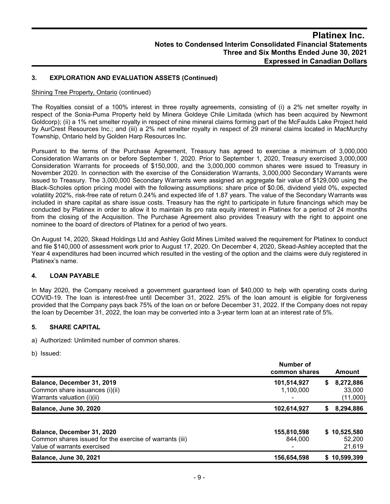# **3. EXPLORATION AND EVALUATION ASSETS (Continued)**

#### Shining Tree Property, Ontario (continued)

The Royalties consist of a 100% interest in three royalty agreements, consisting of (i) a 2% net smelter royalty in respect of the Sonia-Puma Property held by Minera Goldeye Chile Limitada (which has been acquired by Newmont Goldcorp); (ii) a 1% net smelter royalty in respect of nine mineral claims forming part of the McFaulds Lake Project held by AurCrest Resources Inc.; and (iii) a 2% net smelter royalty in respect of 29 mineral claims located in MacMurchy Township, Ontario held by Golden Harp Resources Inc.

Pursuant to the terms of the Purchase Agreement, Treasury has agreed to exercise a minimum of 3,000,000 Consideration Warrants on or before September 1, 2020. Prior to September 1, 2020, Treasury exercised 3,000,000 Consideration Warrants for proceeds of \$150,000, and the 3,000,000 common shares were issued to Treasury in November 2020. In connection with the exercise of the Consideration Warrants, 3,000,000 Secondary Warrants were issued to Treasury. The 3,000,000 Secondary Warrants were assigned an aggregate fair value of \$129,000 using the Black-Scholes option pricing model with the following assumptions: share price of \$0.06, dividend yield 0%, expected volatility 202%, risk-free rate of return 0.24% and expected life of 1.87 years. The value of the Secondary Warrants was included in share capital as share issue costs. Treasury has the right to participate in future financings which may be conducted by Platinex in order to allow it to maintain its pro rata equity interest in Platinex for a period of 24 months from the closing of the Acquisition. The Purchase Agreement also provides Treasury with the right to appoint one nominee to the board of directors of Platinex for a period of two years.

On August 14, 2020, Skead Holdings Ltd and Ashley Gold Mines Limited waived the requirement for Platinex to conduct and file \$140,000 of assessment work prior to August 17, 2020. On December 4, 2020, Skead-Ashley accepted that the Year 4 expenditures had been incurred which resulted in the vesting of the option and the claims were duly registered in Platinex's name.

# **4. LOAN PAYABLE**

In May 2020, the Company received a government guaranteed loan of \$40,000 to help with operating costs during COVID-19. The loan is interest-free until December 31, 2022. 25% of the loan amount is eligible for forgiveness provided that the Company pays back 75% of the loan on or before December 31, 2022. If the Company does not repay the loan by December 31, 2022, the loan may be converted into a 3-year term loan at an interest rate of 5%.

# **5. SHARE CAPITAL**

a) Authorized: Unlimited number of common shares.

b) Issued:

|                                                                                                                      | Number of<br>common shares |    | Amount                           |
|----------------------------------------------------------------------------------------------------------------------|----------------------------|----|----------------------------------|
| Balance, December 31, 2019<br>Common share issuances (i)(ii)<br>Warrants valuation (i)(ii)                           | 101,514,927<br>1,100,000   | \$ | 8,272,886<br>33,000<br>(11,000)  |
| <b>Balance, June 30, 2020</b>                                                                                        | 102,614,927                | S. | 8,294,886                        |
| Balance, December 31, 2020<br>Common shares issued for the exercise of warrants (iii)<br>Value of warrants exercised | 155,810,598<br>844.000     |    | \$10,525,580<br>52,200<br>21,619 |
| <b>Balance, June 30, 2021</b>                                                                                        | 156,654,598                |    | \$10,599,399                     |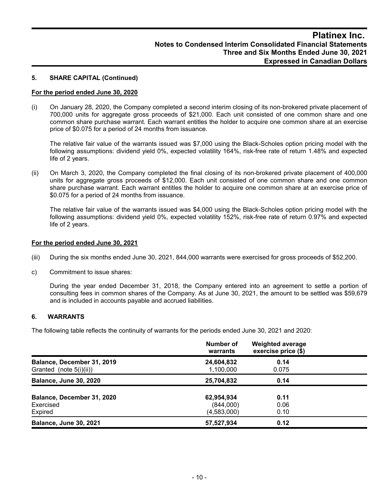#### **5. SHARE CAPITAL (Continued)**

#### **For the period ended June 30, 2020**

(i) On January 28, 2020, the Company completed a second interim closing of its non-brokered private placement of 700,000 units for aggregate gross proceeds of \$21,000. Each unit consisted of one common share and one common share purchase warrant. Each warrant entitles the holder to acquire one common share at an exercise price of \$0.075 for a period of 24 months from issuance.

The relative fair value of the warrants issued was \$7,000 using the Black-Scholes option pricing model with the following assumptions: dividend yield 0%, expected volatility 164%, risk-free rate of return 1.48% and expected life of 2 years.

(ii) On March 3, 2020, the Company completed the final closing of its non-brokered private placement of 400,000 units for aggregate gross proceeds of \$12,000. Each unit consisted of one common share and one common share purchase warrant. Each warrant entitles the holder to acquire one common share at an exercise price of \$0.075 for a period of 24 months from issuance.

The relative fair value of the warrants issued was \$4,000 using the Black-Scholes option pricing model with the following assumptions: dividend yield 0%, expected volatility 152%, risk-free rate of return 0.97% and expected life of 2 years.

#### **For the period ended June 30, 2021**

- (iii) During the six months ended June 30, 2021, 844,000 warrants were exercised for gross proceeds of \$52,200.
- c) Commitment to issue shares:

During the year ended December 31, 2018, the Company entered into an agreement to settle a portion of consulting fees in common shares of the Company. As at June 30, 2021, the amount to be settled was \$59,679 and is included in accounts payable and accrued liabilities.

## **6. WARRANTS**

The following table reflects the continuity of warrants for the periods ended June 30, 2021 and 2020:

|                                                       | Number of<br>warrants                  | <b>Weighted average</b><br>exercise price (\$) |  |
|-------------------------------------------------------|----------------------------------------|------------------------------------------------|--|
| Balance, December 31, 2019<br>Granted (note 5(i)(ii)) | 24,604,832<br>1,100,000                | 0.14<br>0.075                                  |  |
| <b>Balance, June 30, 2020</b>                         | 25,704,832                             | 0.14                                           |  |
| Balance, December 31, 2020<br>Exercised<br>Expired    | 62,954,934<br>(844,000)<br>(4,583,000) | 0.11<br>0.06<br>0.10                           |  |
| <b>Balance, June 30, 2021</b>                         | 57,527,934                             | 0.12                                           |  |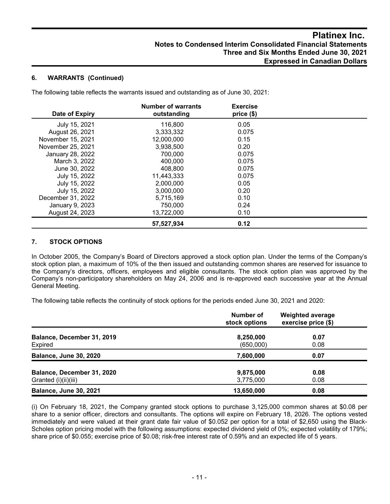### **6. WARRANTS (Continued)**

The following table reflects the warrants issued and outstanding as of June 30, 2021:

| Date of Expiry    | <b>Number of warrants</b><br>outstanding | <b>Exercise</b><br>price(\$) |  |
|-------------------|------------------------------------------|------------------------------|--|
| July 15, 2021     | 116,800                                  | 0.05                         |  |
| August 26, 2021   | 3,333,332                                | 0.075                        |  |
| November 15, 2021 | 12,000,000                               | 0.15                         |  |
| November 25, 2021 | 3,938,500                                | 0.20                         |  |
| January 28, 2022  | 700,000                                  | 0.075                        |  |
| March 3, 2022     | 400,000                                  | 0.075                        |  |
| June 30, 2022     | 408.800                                  | 0.075                        |  |
| July 15, 2022     | 11,443,333                               | 0.075                        |  |
| July 15, 2022     | 2.000.000                                | 0.05                         |  |
| July 15, 2022     | 3,000,000                                | 0.20                         |  |
| December 31, 2022 | 5,715,169                                | 0.10                         |  |
| January 9, 2023   | 750,000                                  | 0.24                         |  |
| August 24, 2023   | 13,722,000                               | 0.10                         |  |
|                   | 57,527,934                               | 0.12                         |  |

# **7. STOCK OPTIONS**

In October 2005, the Company's Board of Directors approved a stock option plan. Under the terms of the Company's stock option plan, a maximum of 10% of the then issued and outstanding common shares are reserved for issuance to the Company's directors, officers, employees and eligible consultants. The stock option plan was approved by the Company's non-participatory shareholders on May 24, 2006 and is re-approved each successive year at the Annual General Meeting.

The following table reflects the continuity of stock options for the periods ended June 30, 2021 and 2020:

|                                                    | Number of<br>stock options | <b>Weighted average</b><br>exercise price (\$) |
|----------------------------------------------------|----------------------------|------------------------------------------------|
| Balance, December 31, 2019<br>Expired              | 8,250,000<br>(650,000)     | 0.07<br>0.08                                   |
| <b>Balance, June 30, 2020</b>                      | 7,600,000                  | 0.07                                           |
| Balance, December 31, 2020<br>Granted (i)(ii)(iii) | 9,875,000<br>3,775,000     | 0.08<br>0.08                                   |
| <b>Balance, June 30, 2021</b>                      | 13,650,000                 | 0.08                                           |

(i) On February 18, 2021, the Company granted stock options to purchase 3,125,000 common shares at \$0.08 per share to a senior officer, directors and consultants. The options will expire on February 18, 2026. The options vested immediately and were valued at their grant date fair value of \$0.052 per option for a total of \$2,650 using the Black-Scholes option pricing model with the following assumptions: expected dividend yield of 0%; expected volatility of 179%; share price of \$0.055; exercise price of \$0.08; risk-free interest rate of 0.59% and an expected life of 5 years.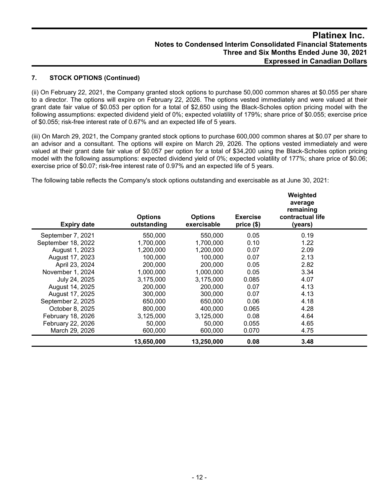# **7. STOCK OPTIONS (Continued)**

(ii) On February 22, 2021, the Company granted stock options to purchase 50,000 common shares at \$0.055 per share to a director. The options will expire on February 22, 2026. The options vested immediately and were valued at their grant date fair value of \$0.053 per option for a total of \$2,650 using the Black-Scholes option pricing model with the following assumptions: expected dividend yield of 0%; expected volatility of 179%; share price of \$0.055; exercise price of \$0.055; risk-free interest rate of 0.67% and an expected life of 5 years.

(iii) On March 29, 2021, the Company granted stock options to purchase 600,000 common shares at \$0.07 per share to an advisor and a consultant. The options will expire on March 29, 2026. The options vested immediately and were valued at their grant date fair value of \$0.057 per option for a total of \$34,200 using the Black-Scholes option pricing model with the following assumptions: expected dividend yield of 0%; expected volatility of 177%; share price of \$0.06; exercise price of \$0.07; risk-free interest rate of 0.97% and an expected life of 5 years.

The following table reflects the Company's stock options outstanding and exercisable as at June 30, 2021:

| <b>Expiry date</b> | <b>Options</b><br>outstanding | <b>Options</b><br>exercisable | <b>Exercise</b><br>price (\$) | Weighted<br>average<br>remaining<br>contractual life<br>(years) |  |
|--------------------|-------------------------------|-------------------------------|-------------------------------|-----------------------------------------------------------------|--|
| September 7, 2021  | 550,000                       | 550,000                       | 0.05                          | 0.19                                                            |  |
| September 18, 2022 | 1,700,000                     | 1,700,000                     | 0.10                          | 1.22                                                            |  |
| August 1, 2023     | 1,200,000                     | 1,200,000                     | 0.07                          | 2.09                                                            |  |
| August 17, 2023    | 100,000                       | 100,000                       | 0.07                          | 2.13                                                            |  |
| April 23, 2024     | 200,000                       | 200,000                       | 0.05                          | 2.82                                                            |  |
| November 1, 2024   | 1,000,000                     | 1,000,000                     | 0.05                          | 3.34                                                            |  |
| July 24, 2025      | 3,175,000                     | 3,175,000                     | 0.085                         | 4.07                                                            |  |
| August 14, 2025    | 200.000                       | 200,000                       | 0.07                          | 4.13                                                            |  |
| August 17, 2025    | 300,000                       | 300,000                       | 0.07                          | 4.13                                                            |  |
| September 2, 2025  | 650,000                       | 650,000                       | 0.06                          | 4.18                                                            |  |
| October 8, 2025    | 800,000                       | 400.000                       | 0.065                         | 4.28                                                            |  |
| February 18, 2026  | 3,125,000                     | 3.125.000                     | 0.08                          | 4.64                                                            |  |
| February 22, 2026  | 50,000                        | 50,000                        | 0.055                         | 4.65                                                            |  |
| March 29, 2026     | 600,000                       | 600,000                       | 0.070                         | 4.75                                                            |  |
|                    | 13,650,000                    | 13,250,000                    | 0.08                          | 3.48                                                            |  |